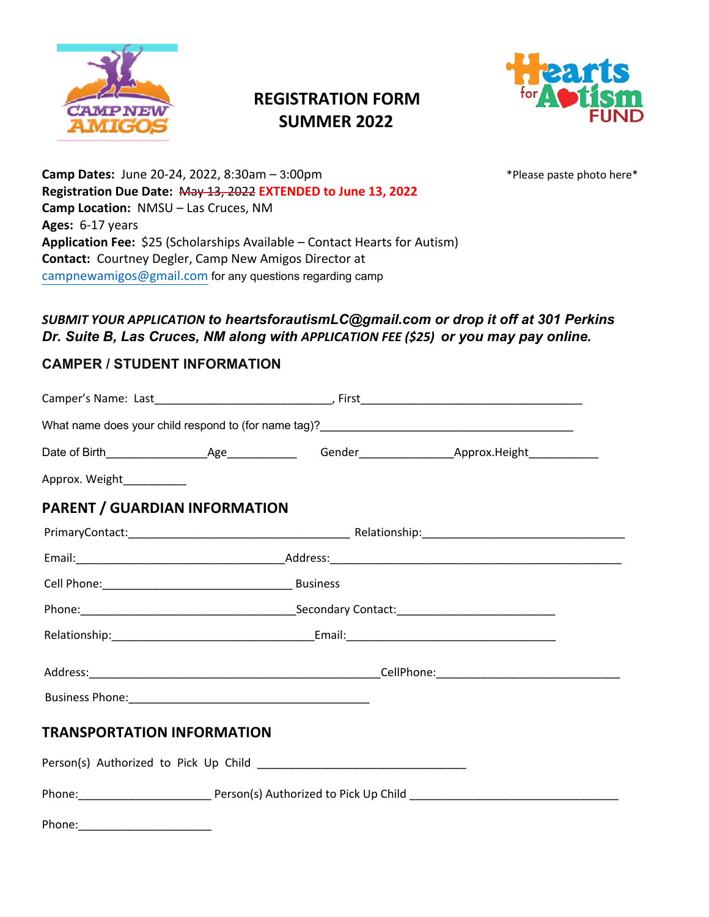

# **REGISTRATION FORM SUMMER 2022**



\*Please paste photo here\*

**Camp Dates:** June 20-24, 2022, 8:30am – 3:00pm **Registration Due Date:** May 13, 2022 **EXTENDED to June 13, 2022 Camp Location:** NMSU – Las Cruces, NM **Ages:** 6-17 years **Application Fee:** \$25 (Scholarships Available – Contact Hearts for Autism) **Contact:** Courtney Degler, Camp New Amigos Director at campnewamigos@gmail.com for any questions regarding camp

#### *SUBMIT YOUR APPLICATION to heartsforautismLC@gmail.com or drop it off at 301 Perkins Dr. Suite B, Las Cruces, NM along with APPLICATION FEE (\$25) or you may pay online.*

### **CAMPER / STUDENT INFORMATION**

| Approx. Weight___________            |  |  |
|--------------------------------------|--|--|
| <b>PARENT / GUARDIAN INFORMATION</b> |  |  |
|                                      |  |  |
|                                      |  |  |
|                                      |  |  |
|                                      |  |  |
|                                      |  |  |
|                                      |  |  |
|                                      |  |  |
| <b>TRANSPORTATION INFORMATION</b>    |  |  |
|                                      |  |  |
|                                      |  |  |
|                                      |  |  |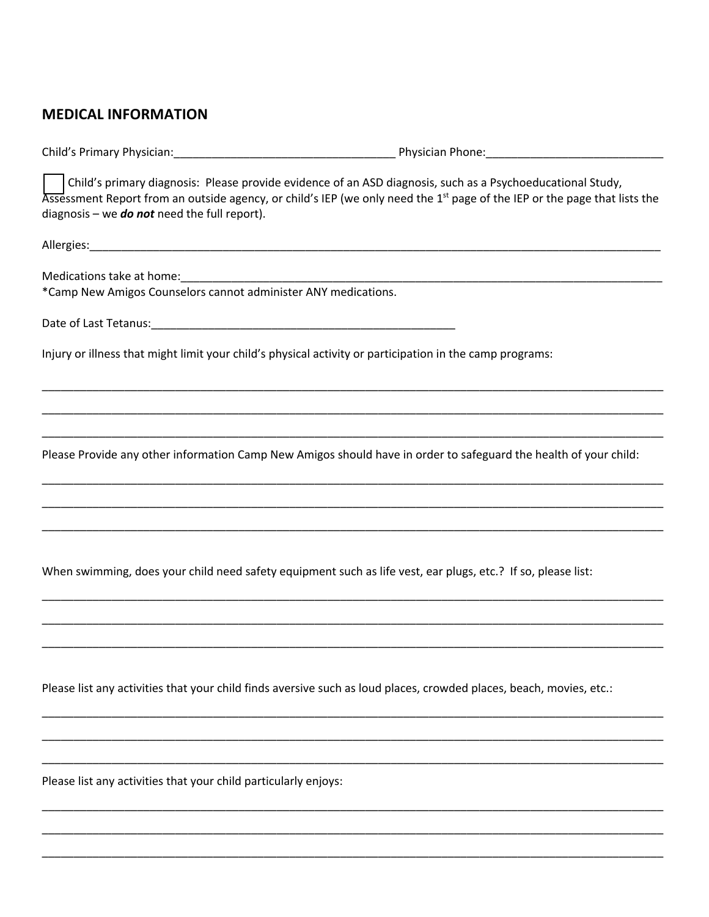# **MEDICAL INFORMATION**

| Child's primary diagnosis: Please provide evidence of an ASD diagnosis, such as a Psychoeducational Study,<br>Assessment Report from an outside agency, or child's IEP (we only need the 1 <sup>st</sup> page of the IEP or the page that lists the<br>diagnosis – we <b>do not</b> need the full report). |  |
|------------------------------------------------------------------------------------------------------------------------------------------------------------------------------------------------------------------------------------------------------------------------------------------------------------|--|
|                                                                                                                                                                                                                                                                                                            |  |
| Medications take at home:<br><u>[</u> [11][12] Medications take at home:<br>*Camp New Amigos Counselors cannot administer ANY medications.                                                                                                                                                                 |  |
|                                                                                                                                                                                                                                                                                                            |  |
| Injury or illness that might limit your child's physical activity or participation in the camp programs:                                                                                                                                                                                                   |  |
|                                                                                                                                                                                                                                                                                                            |  |
|                                                                                                                                                                                                                                                                                                            |  |
| Please Provide any other information Camp New Amigos should have in order to safeguard the health of your child:                                                                                                                                                                                           |  |
|                                                                                                                                                                                                                                                                                                            |  |
|                                                                                                                                                                                                                                                                                                            |  |
| When swimming, does your child need safety equipment such as life vest, ear plugs, etc.? If so, please list:                                                                                                                                                                                               |  |
|                                                                                                                                                                                                                                                                                                            |  |
|                                                                                                                                                                                                                                                                                                            |  |
| Please list any activities that your child finds aversive such as loud places, crowded places, beach, movies, etc.:                                                                                                                                                                                        |  |
|                                                                                                                                                                                                                                                                                                            |  |

\_\_\_\_\_\_\_\_\_\_\_\_\_\_\_\_\_\_\_\_\_\_\_\_\_\_\_\_\_\_\_\_\_\_\_\_\_\_\_\_\_\_\_\_\_\_\_\_\_\_\_\_\_\_\_\_\_\_\_\_\_\_\_\_\_\_\_\_\_\_\_\_\_\_\_\_\_\_\_\_\_\_\_\_\_\_\_\_\_\_\_\_\_\_\_\_\_\_

\_\_\_\_\_\_\_\_\_\_\_\_\_\_\_\_\_\_\_\_\_\_\_\_\_\_\_\_\_\_\_\_\_\_\_\_\_\_\_\_\_\_\_\_\_\_\_\_\_\_\_\_\_\_\_\_\_\_\_\_\_\_\_\_\_\_\_\_\_\_\_\_\_\_\_\_\_\_\_\_\_\_\_\_\_\_\_\_\_\_\_\_\_\_\_\_\_\_

\_\_\_\_\_\_\_\_\_\_\_\_\_\_\_\_\_\_\_\_\_\_\_\_\_\_\_\_\_\_\_\_\_\_\_\_\_\_\_\_\_\_\_\_\_\_\_\_\_\_\_\_\_\_\_\_\_\_\_\_\_\_\_\_\_\_\_\_\_\_\_\_\_\_\_\_\_\_\_\_\_\_\_\_\_\_\_\_\_\_\_\_\_\_\_\_\_\_

\_\_\_\_\_\_\_\_\_\_\_\_\_\_\_\_\_\_\_\_\_\_\_\_\_\_\_\_\_\_\_\_\_\_\_\_\_\_\_\_\_\_\_\_\_\_\_\_\_\_\_\_\_\_\_\_\_\_\_\_\_\_\_\_\_\_\_\_\_\_\_\_\_\_\_\_\_\_\_\_\_\_\_\_\_\_\_\_\_\_\_\_\_\_\_\_\_\_

Please list any activities that your child particularly enjoys: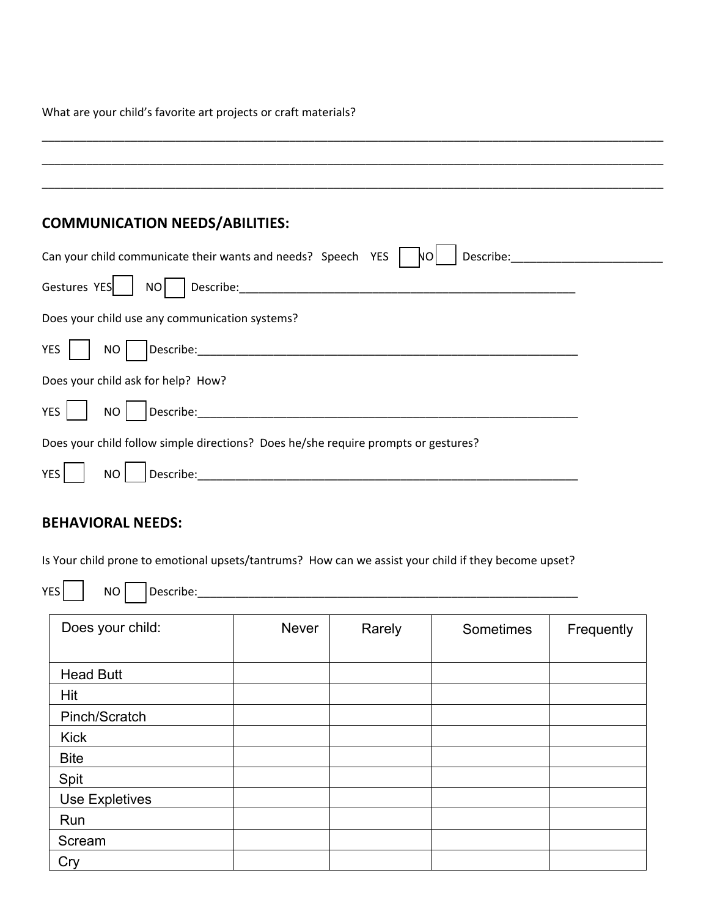What are your child's favorite art projects or craft materials?

| <b>COMMUNICATION NEEDS/ABILITIES:</b>                                                                                                                        |  |
|--------------------------------------------------------------------------------------------------------------------------------------------------------------|--|
| Can your child communicate their wants and needs? Speech YES<br>Describe:<br>NΟ                                                                              |  |
| Gestures YES                                                                                                                                                 |  |
| Does your child use any communication systems?                                                                                                               |  |
| <b>YES</b><br>NO                                                                                                                                             |  |
| Does your child ask for help? How?                                                                                                                           |  |
| <b>YES</b><br>Describe:<br><b>NO</b>                                                                                                                         |  |
| Does your child follow simple directions? Does he/she require prompts or gestures?                                                                           |  |
| Describe:<br><b>YES</b><br><b>NO</b><br><u> 2001 - Jan James James Jan James James Jan James James Jan James James Jan Jan Jan James Jan Jan Jan Jan Jan</u> |  |
|                                                                                                                                                              |  |

\_\_\_\_\_\_\_\_\_\_\_\_\_\_\_\_\_\_\_\_\_\_\_\_\_\_\_\_\_\_\_\_\_\_\_\_\_\_\_\_\_\_\_\_\_\_\_\_\_\_\_\_\_\_\_\_\_\_\_\_\_\_\_\_\_\_\_\_\_\_\_\_\_\_\_\_\_\_\_\_\_\_\_\_\_\_\_\_\_\_\_\_\_\_\_\_\_\_

# **BEHAVIORAL NEEDS:**

Is Your child prone to emotional upsets/tantrums? How can we assist your child if they become upset?

YES NO Describe:\_\_\_\_\_\_\_\_\_\_\_\_\_\_\_\_\_\_\_\_\_\_\_\_\_\_\_\_\_\_\_\_\_\_\_\_\_\_\_\_\_\_\_\_\_\_\_\_\_\_\_\_\_\_\_\_\_\_\_\_

| Does your child:      | Never | Rarely | Sometimes | Frequently |
|-----------------------|-------|--------|-----------|------------|
| <b>Head Butt</b>      |       |        |           |            |
| Hit                   |       |        |           |            |
| Pinch/Scratch         |       |        |           |            |
| <b>Kick</b>           |       |        |           |            |
| <b>Bite</b>           |       |        |           |            |
| Spit                  |       |        |           |            |
| <b>Use Expletives</b> |       |        |           |            |
| Run                   |       |        |           |            |
| Scream                |       |        |           |            |
| Cry                   |       |        |           |            |